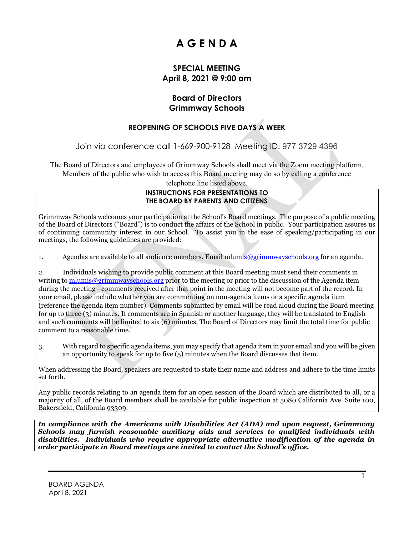# **A G E N D A**

### **SPECIAL MEETING April 8, 2021 @ 9:00 am**

### **Board of Directors Grimmway Schools**

## **REOPENING OF SCHOOLS FIVE DAYS A WEEK**

Join via conference call 1-669-900-9128 Meeting ID: 977 3729 4396

The Board of Directors and employees of Grimmway Schools shall meet via the Zoom meeting platform. Members of the public who wish to access this Board meeting may do so by calling a conference

telephone line listed above.

#### **INSTRUCTIONS FOR PRESENTATIONS TO THE BOARD BY PARENTS AND CITIZENS**

Grimmway Schools welcomes your participation at the School's Board meetings. The purpose of a public meeting of the Board of Directors ("Board") is to conduct the affairs of the School in public. Your participation assures us of continuing community interest in our School. To assist you in the ease of speaking/participating in our meetings, the following guidelines are provided:

1. Agendas are available to all audience members. Email [mlumis@grimmwayschools.org](mailto:mlumis@grimmwayschools.org) for an agenda.

2. Individuals wishing to provide public comment at this Board meeting must send their comments in writing to [mlumis@grimmwayschools.org](mailto:mlumis@grimmwayschools.org) prior to the meeting or prior to the discussion of the Agenda item during the meeting –comments received after that point in the meeting will not become part of the record. In your email, please include whether you are commenting on non-agenda items or a specific agenda item (reference the agenda item number). Comments submitted by email will be read aloud during the Board meeting for up to three (3) minutes. If comments are in Spanish or another language, they will be translated to English and such comments will be limited to six (6) minutes. The Board of Directors may limit the total time for public comment to a reasonable time.

3. With regard to specific agenda items, you may specify that agenda item in your email and you will be given an opportunity to speak for up to five (5) minutes when the Board discusses that item.

When addressing the Board, speakers are requested to state their name and address and adhere to the time limits set forth.

Any public records relating to an agenda item for an open session of the Board which are distributed to all, or a majority of all, of the Board members shall be available for public inspection at 5080 California Ave. Suite 100, Bakersfield, California 93309.

*In compliance with the Americans with Disabilities Act (ADA) and upon request, Grimmway Schools may furnish reasonable auxiliary aids and services to qualified individuals with disabilities. Individuals who require appropriate alternative modification of the agenda in order participate in Board meetings are invited to contact the School's office.*